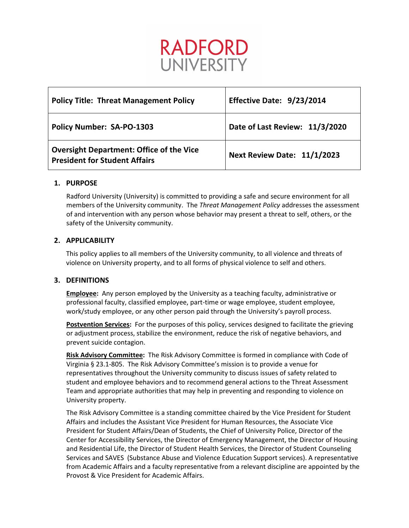# RADFORD **UNIVERSITY**

| <b>Policy Title: Threat Management Policy</b>                                           | Effective Date: 9/23/2014      |
|-----------------------------------------------------------------------------------------|--------------------------------|
| <b>Policy Number: SA-PO-1303</b>                                                        | Date of Last Review: 11/3/2020 |
| <b>Oversight Department: Office of the Vice</b><br><b>President for Student Affairs</b> | Next Review Date: 11/1/2023    |

# **1. PURPOSE**

Radford University (University) is committed to providing a safe and secure environment for all members of the University community. The *Threat Management Policy* addresses the assessment of and intervention with any person whose behavior may present a threat to self, others, or the safety of the University community.

# **2. APPLICABILITY**

This policy applies to all members of the University community, to all violence and threats of violence on University property, and to all forms of physical violence to self and others.

## **3. DEFINITIONS**

**Employee:** Any person employed by the University as a teaching faculty, administrative or professional faculty, classified employee, part-time or wage employee, student employee, work/study employee, or any other person paid through the University's payroll process.

**Postvention Services:** For the purposes of this policy, services designed to facilitate the grieving or adjustment process, stabilize the environment, reduce the risk of negative behaviors, and prevent suicide contagion.

**Risk Advisory Committee:** The Risk Advisory Committee is formed in compliance with Code of Virginia § 23.1-805. The Risk Advisory Committee's mission is to provide a venue for representatives throughout the University community to discuss issues of safety related to student and employee behaviors and to recommend general actions to the Threat Assessment Team and appropriate authorities that may help in preventing and responding to violence on University property.

The Risk Advisory Committee is a standing committee chaired by the Vice President for Student Affairs and includes the Assistant Vice President for Human Resources, the Associate Vice President for Student Affairs/Dean of Students, the Chief of University Police, Director of the Center for Accessibility Services, the Director of Emergency Management, the Director of Housing and Residential Life, the Director of Student Health Services, the Director of Student Counseling Services and SAVES (Substance Abuse and Violence Education Support services). A representative from Academic Affairs and a faculty representative from a relevant discipline are appointed by the Provost & Vice President for Academic Affairs.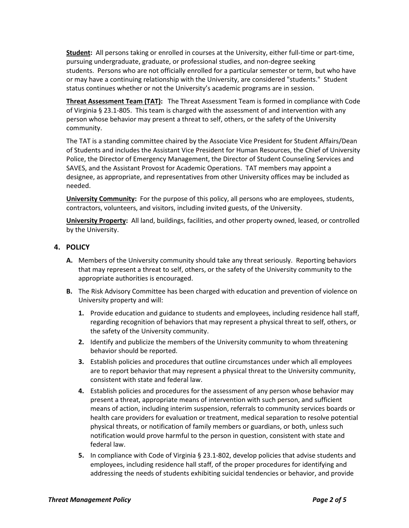**Student:** All persons taking or enrolled in courses at the University, either full-time or part-time, pursuing undergraduate, graduate, or professional studies, and non-degree seeking students. Persons who are not officially enrolled for a particular semester or term, but who have or may have a continuing relationship with the University, are considered "students." Student status continues whether or not the University's academic programs are in session.

**Threat Assessment Team (TAT):** The Threat Assessment Team is formed in compliance with Code of Virginia § 23.1-805. This team is charged with the assessment of and intervention with any person whose behavior may present a threat to self, others, or the safety of the University community.

The TAT is a standing committee chaired by the Associate Vice President for Student Affairs/Dean of Students and includes the Assistant Vice President for Human Resources, the Chief of University Police, the Director of Emergency Management, the Director of Student Counseling Services and SAVES, and the Assistant Provost for Academic Operations. TAT members may appoint a designee, as appropriate, and representatives from other University offices may be included as needed.

**University Community:** For the purpose of this policy, all persons who are employees, students, contractors, volunteers, and visitors, including invited guests, of the University.

**University Property:** All land, buildings, facilities, and other property owned, leased, or controlled by the University.

## **4. POLICY**

- **A.** Members of the University community should take any threat seriously. Reporting behaviors that may represent a threat to self, others, or the safety of the University community to the appropriate authorities is encouraged.
- **B.** The Risk Advisory Committee has been charged with education and prevention of violence on University property and will:
	- **1.** Provide education and guidance to students and employees, including residence hall staff, regarding recognition of behaviors that may represent a physical threat to self, others, or the safety of the University community.
	- **2.** Identify and publicize the members of the University community to whom threatening behavior should be reported.
	- **3.** Establish policies and procedures that outline circumstances under which all employees are to report behavior that may represent a physical threat to the University community, consistent with state and federal law.
	- **4.** Establish policies and procedures for the assessment of any person whose behavior may present a threat, appropriate means of intervention with such person, and sufficient means of action, including interim suspension, referrals to community services boards or health care providers for evaluation or treatment, medical separation to resolve potential physical threats, or notification of family members or guardians, or both, unless such notification would prove harmful to the person in question, consistent with state and federal law.
	- **5.** In compliance with Code of Virginia § 23.1-802, develop policies that advise students and employees, including residence hall staff, of the proper procedures for identifying and addressing the needs of students exhibiting suicidal tendencies or behavior, and provide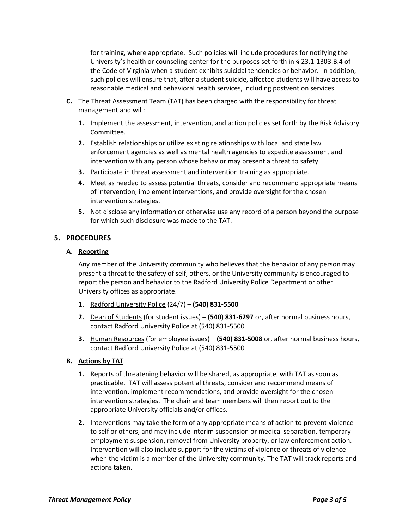for training, where appropriate. Such policies will include procedures for notifying the University's health or counseling center for the purposes set forth in § 23.1-1303.B.4 of the Code of Virginia when a student exhibits suicidal tendencies or behavior. In addition, such policies will ensure that, after a student suicide, affected students will have access to reasonable medical and behavioral health services, including postvention services.

- **C.** The Threat Assessment Team (TAT) has been charged with the responsibility for threat management and will:
	- **1.** Implement the assessment, intervention, and action policies set forth by the Risk Advisory Committee.
	- **2.** Establish relationships or utilize existing relationships with local and state law enforcement agencies as well as mental health agencies to expedite assessment and intervention with any person whose behavior may present a threat to safety.
	- **3.** Participate in threat assessment and intervention training as appropriate.
	- **4.** Meet as needed to assess potential threats, consider and recommend appropriate means of intervention, implement interventions, and provide oversight for the chosen intervention strategies.
	- **5.** Not disclose any information or otherwise use any record of a person beyond the purpose for which such disclosure was made to the TAT.

## **5. PROCEDURES**

### **A. Reporting**

Any member of the University community who believes that the behavior of any person may present a threat to the safety of self, others, or the University community is encouraged to report the person and behavior to the Radford University Police Department or other University offices as appropriate.

- **1.** Radford University Police (24/7) **(540) 831-5500**
- **2.** Dean of Students (for student issues) **(540) 831-6297** or, after normal business hours, contact Radford University Police at (540) 831-5500
- **3.** Human Resources (for employee issues) **(540) 831-5008** or, after normal business hours, contact Radford University Police at (540) 831-5500

## **B. Actions by TAT**

- **1.** Reports of threatening behavior will be shared, as appropriate, with TAT as soon as practicable. TAT will assess potential threats, consider and recommend means of intervention, implement recommendations, and provide oversight for the chosen intervention strategies. The chair and team members will then report out to the appropriate University officials and/or offices.
- **2.** Interventions may take the form of any appropriate means of action to prevent violence to self or others, and may include interim suspension or medical separation, temporary employment suspension, removal from University property, or law enforcement action. Intervention will also include support for the victims of violence or threats of violence when the victim is a member of the University community. The TAT will track reports and actions taken.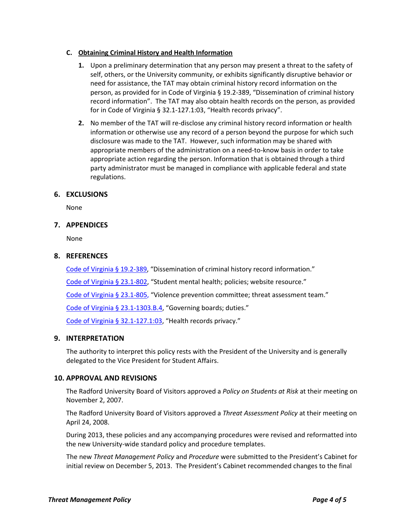#### **C. Obtaining Criminal History and Health Information**

- **1.** Upon a preliminary determination that any person may present a threat to the safety of self, others, or the University community, or exhibits significantly disruptive behavior or need for assistance, the TAT may obtain criminal history record information on the person, as provided for in Code of Virginia § 19.2-389, "Dissemination of criminal history record information".The TAT may also obtain health records on the person, as provided for in Code of Virginia § 32.1-127.1:03, "Health records privacy".
- **2.** No member of the TAT will re-disclose any criminal history record information or health information or otherwise use any record of a person beyond the purpose for which such disclosure was made to the TAT. However, such information may be shared with appropriate members of the administration on a need-to-know basis in order to take appropriate action regarding the person. Information that is obtained through a third party administrator must be managed in compliance with applicable federal and state regulations.

### **6. EXCLUSIONS**

None

### **7. APPENDICES**

None

### **8. REFERENCES**

[Code of Virginia § 19.2-389,](https://law.lis.virginia.gov/vacode/title19.2/chapter23/section19.2-389/) "Dissemination of criminal history record information."

[Code of Virginia § 23.1-802,](https://law.lis.virginia.gov/vacode/23.1-802/) "Student mental health; policies; website resource."

[Code of Virginia § 23.1-805,](https://law.lis.virginia.gov/vacode/title23.1/chapter8/section23.1-805/) "Violence prevention committee; threat assessment team."

[Code of Virginia § 23.1-1303.B.4,](https://law.lis.virginia.gov/vacode/title23.1/chapter13/section23.1-1303/) "Governing boards; duties."

[Code of Virginia § 32.1-127.1:03,](https://law.lis.virginia.gov/vacode/title32.1/chapter5/section32.1-127.1:03/) "Health records privacy."

#### **9. INTERPRETATION**

The authority to interpret this policy rests with the President of the University and is generally delegated to the Vice President for Student Affairs.

#### **10. APPROVAL AND REVISIONS**

The Radford University Board of Visitors approved a *Policy on Students at Risk* at their meeting on November 2, 2007.

The Radford University Board of Visitors approved a *Threat Assessment Policy* at their meeting on April 24, 2008.

During 2013, these policies and any accompanying procedures were revised and reformatted into the new University-wide standard policy and procedure templates.

The new *Threat Management Policy* and *Procedure* were submitted to the President's Cabinet for initial review on December 5, 2013. The President's Cabinet recommended changes to the final